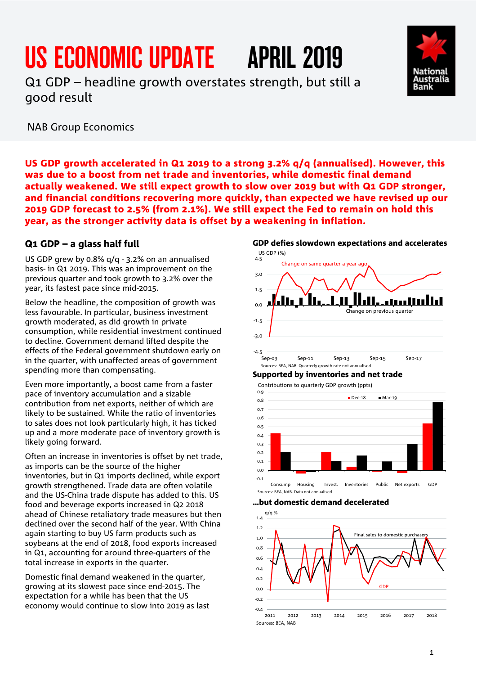# US ECONOMIC UPDATE APRIL 2019

Q1 GDP – headline growth overstates strength, but still a good result

NAB Group Economics

US GDP growth accelerated in Q1 2019 to a strong 3.2% q/q (annualised). However, this was due to a boost from net trade and inventories, while domestic final demand actually weakened. We still expect growth to slow over 2019 but with Q1 GDP stronger, and financial conditions recovering more quickly, than expected we have revised up our 2019 GDP forecast to 2.5% (from 2.1%). We still expect the Fed to remain on hold this year, as the stronger activity data is offset by a weakening in inflation.

4.5

## Q1 GDP – a glass half full

US GDP grew by 0.8% q/q - 3.2% on an annualised basis- in Q1 2019. This was an improvement on the previous quarter and took growth to 3.2% over the year, its fastest pace since mid-2015.

Below the headline, the composition of growth was less favourable. In particular, business investment growth moderated, as did growth in private consumption, while residential investment continued to decline. Government demand lifted despite the effects of the Federal government shutdown early on in the quarter, with unaffected areas of government spending more than compensating.

Even more importantly, a boost came from a faster pace of inventory accumulation and a sizable contribution from net exports, neither of which are likely to be sustained. While the ratio of inventories to sales does not look particularly high, it has ticked up and a more moderate pace of inventory growth is likely going forward.

Often an increase in inventories is offset by net trade, as imports can be the source of the higher inventories, but in Q1 imports declined, while export growth strengthened. Trade data are often volatile and the US-China trade dispute has added to this. US food and beverage exports increased in Q2 2018 ahead of Chinese retaliatory trade measures but then declined over the second half of the year. With China again starting to buy US farm products such as soybeans at the end of 2018, food exports increased in Q1, accounting for around three-quarters of the total increase in exports in the quarter.

Domestic final demand weakened in the quarter, growing at its slowest pace since end-2015. The expectation for a while has been that the US economy would continue to slow into 2019 as last

3.0 1.5 anallud 0.0 Change on previous quarter -1.5 -3.0 -4.5<br>Sep-09 Sep-09 Sep-11 Sep-13 Sep-15 Sep-17 Sources: BEA, NAB. Quarterly growth rate not annualised

## Supported by inventories and net trade

Change on same quarter a year ago



…but domestic demand decelerated



## GDP defies slowdown expectations and accelerates US GDP (%)

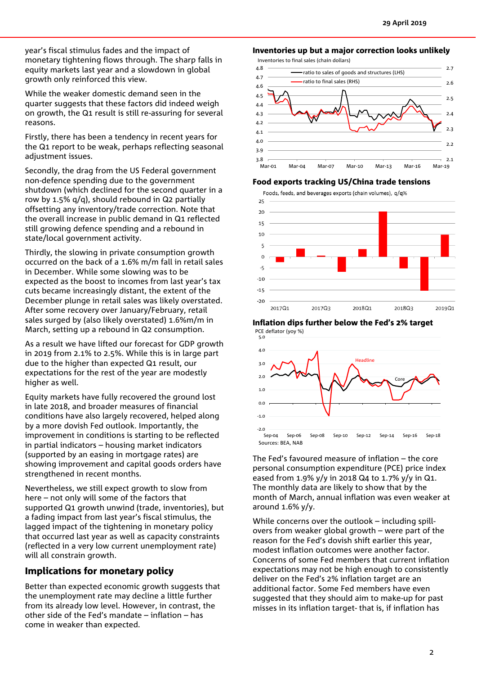year's fiscal stimulus fades and the impact of monetary tightening flows through. The sharp falls in equity markets last year and a slowdown in global growth only reinforced this view.

While the weaker domestic demand seen in the quarter suggests that these factors did indeed weigh on growth, the Q1 result is still re-assuring for several reasons.

Firstly, there has been a tendency in recent years for the Q1 report to be weak, perhaps reflecting seasonal adjustment issues.

Secondly, the drag from the US Federal government non-defence spending due to the government shutdown (which declined for the second quarter in a row by 1.5% q/q), should rebound in Q2 partially offsetting any inventory/trade correction. Note that the overall increase in public demand in Q1 reflected still growing defence spending and a rebound in state/local government activity.

Thirdly, the slowing in private consumption growth occurred on the back of a 1.6% m/m fall in retail sales in December. While some slowing was to be expected as the boost to incomes from last year's tax cuts became increasingly distant, the extent of the December plunge in retail sales was likely overstated. After some recovery over January/February, retail sales surged by (also likely overstated) 1.6%m/m in March, setting up a rebound in Q2 consumption.

As a result we have lifted our forecast for GDP growth in 2019 from 2.1% to 2.5%. While this is in large part due to the higher than expected Q1 result, our expectations for the rest of the year are modestly higher as well.

Equity markets have fully recovered the ground lost in late 2018, and broader measures of financial conditions have also largely recovered, helped along by a more dovish Fed outlook. Importantly, the improvement in conditions is starting to be reflected in partial indicators – housing market indicators (supported by an easing in mortgage rates) are showing improvement and capital goods orders have strengthened in recent months.

Nevertheless, we still expect growth to slow from here – not only will some of the factors that supported Q1 growth unwind (trade, inventories), but a fading impact from last year's fiscal stimulus, the lagged impact of the tightening in monetary policy that occurred last year as well as capacity constraints (reflected in a very low current unemployment rate) will all constrain growth.

## Implications for monetary policy

Better than expected economic growth suggests that the unemployment rate may decline a little further from its already low level. However, in contrast, the other side of the Fed's mandate – inflation – has come in weaker than expected.

## Inventories up but a major correction looks unlikely

Inventories to final sales (chain dollars)



## Food exports tracking US/China trade tensions



#### Inflation dips further below the Fed's 2% target



The Fed's favoured measure of inflation – the core personal consumption expenditure (PCE) price index eased from 1.9% y/y in 2018 Q4 to 1.7% y/y in Q1. The monthly data are likely to show that by the month of March, annual inflation was even weaker at around 1.6% y/y.

While concerns over the outlook – including spillovers from weaker global growth – were part of the reason for the Fed's dovish shift earlier this year, modest inflation outcomes were another factor. Concerns of some Fed members that current inflation expectations may not be high enough to consistently deliver on the Fed's 2% inflation target are an additional factor. Some Fed members have even suggested that they should aim to make-up for past misses in its inflation target- that is, if inflation has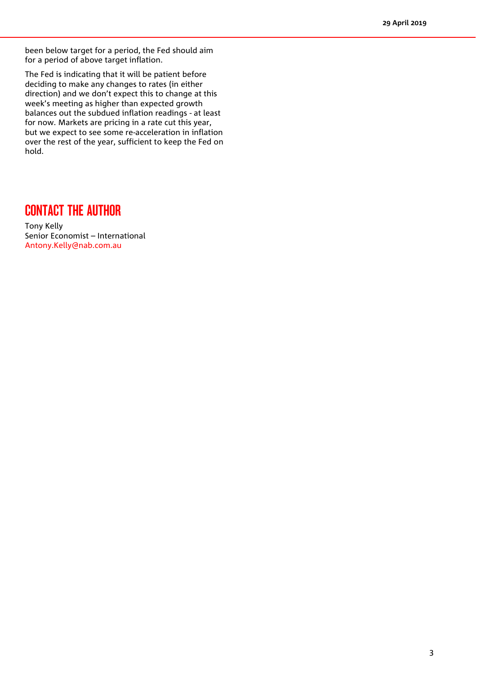been below target for a period, the Fed should aim for a period of above target inflation.

The Fed is indicating that it will be patient before deciding to make any changes to rates (in either direction) and we don't expect this to change at this week's meeting as higher than expected growth balances out the subdued inflation readings - at least for now. Markets are pricing in a rate cut this year, but we expect to see some re-acceleration in inflation over the rest of the year, sufficient to keep the Fed on hold.

# CONTACT THE AUTHOR

Tony Kelly Senior Economist – International [Antony.Kelly@nab.com.au](mailto:Antony.Kelly@nab.com.au)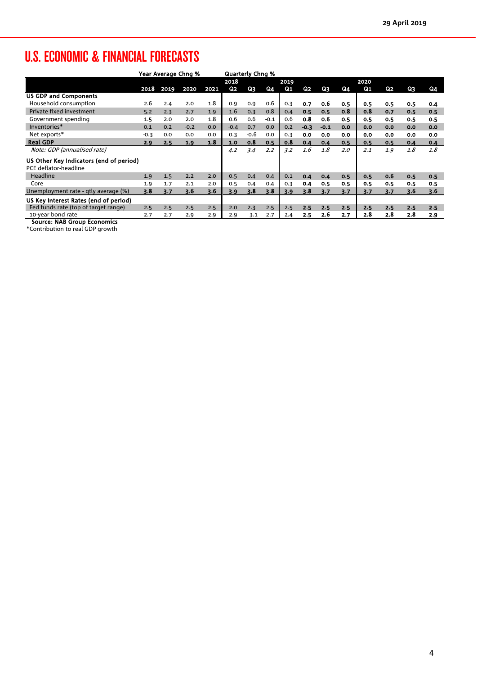# U.S. ECONOMIC & FINANCIAL FORECASTS

|                                         | Year Average Chng % |      |        |      | <b>Quarterly Chng %</b> |        |               |     |        |        |     |     |     |     |     |
|-----------------------------------------|---------------------|------|--------|------|-------------------------|--------|---------------|-----|--------|--------|-----|-----|-----|-----|-----|
|                                         |                     |      |        |      | 2018<br>2019            |        |               |     |        | 2020   |     |     |     |     |     |
|                                         | 2018                | 2019 | 2020   | 2021 | Q2                      | Q3     | Q4            | Q1  | Q2     | Q3     | Q4  | Q1  | Q2  | Q3  | Q4  |
| <b>US GDP and Components</b>            |                     |      |        |      |                         |        |               |     |        |        |     |     |     |     |     |
| Household consumption                   | 2.6                 | 2.4  | 2.0    | 1.8  | 0.9                     | 0.9    | 0.6           | 0.3 | 0.7    | 0.6    | 0.5 | 0.5 | 0.5 | 0.5 | 0.4 |
| Private fixed investment                | 5.2                 | 2.3  | 2.7    | 1.9  | 1.6                     | 0.3    | 0.8           | 0.4 | 0.5    | 0.5    | 0.8 | 0.8 | 0.7 | 0.5 | 0.5 |
| Government spending                     | 1.5                 | 2.0  | 2.0    | 1.8  | 0.6                     | 0.6    | $-0.1$        | 0.6 | 0.8    | 0.6    | 0.5 | 0.5 | 0.5 | 0.5 | 0.5 |
| Inventories*                            | 0.1                 | 0.2  | $-0.2$ | 0.0  | $-0.4$                  | 0.7    | 0.0           | 0.2 | $-0.3$ | $-0.1$ | 0.0 | 0.0 | 0.0 | 0.0 | 0.0 |
| Net exports*                            | $-0.3$              | 0.0  | 0.0    | 0.0  | 0.3                     | $-0.6$ | 0.0           | 0.3 | 0.0    | 0.0    | 0.0 | 0.0 | 0.0 | 0.0 | 0.0 |
| <b>Real GDP</b>                         | 2.9                 | 2.5  | 1.9    | 1.8  | 1.0                     | 0.8    | 0.5           | 0.8 | 0.4    | 0.4    | 0.5 | 0.5 | 0.5 | 0.4 | 0.4 |
| Note: GDP (annualised rate)             |                     |      |        |      | 4.2                     | 3.4    | $2.2^{\circ}$ | 3.2 | 1.6    | 1.8    | 2.0 | 2.1 | 1.9 | 1.8 | 1.8 |
| US Other Key Indicators (end of period) |                     |      |        |      |                         |        |               |     |        |        |     |     |     |     |     |
| PCE deflator-headline                   |                     |      |        |      |                         |        |               |     |        |        |     |     |     |     |     |
| Headline                                | 1.9                 | 1.5  | 2.2    | 2.0  | 0.5                     | 0.4    | 0.4           | 0.1 | 0.4    | 0.4    | 0.5 | 0.5 | 0.6 | 0.5 | 0.5 |
| Core                                    | 1.9                 | 1.7  | 2.1    | 2.0  | 0.5                     | 0.4    | 0.4           | 0.3 | 0.4    | 0.5    | 0.5 | 0.5 | 0.5 | 0.5 | 0.5 |
| Unemployment rate - qtly average (%)    | 3.8                 | 3.7  | 3.6    | 3.6  | 3.9                     | 3.8    | 3.8           | 3.9 | 3.8    | 3.7    | 3.7 | 3.7 | 3.7 | 3.6 | 3.6 |
| US Key Interest Rates (end of period)   |                     |      |        |      |                         |        |               |     |        |        |     |     |     |     |     |
| Fed funds rate (top of target range)    | 2.5                 | 2.5  | 2.5    | 2.5  | 2.0                     | 2.3    | 2.5           | 2.5 | 2.5    | 2.5    | 2.5 | 2.5 | 2.5 | 2.5 | 2.5 |
| 10-year bond rate                       | 2.7                 | 2.7  | 2.9    | 2.9  | 2.9                     | 3.1    | 2.7           | 2.4 | 2.5    | 2.6    | 2.7 | 2.8 | 2.8 | 2.8 | 2.9 |

Source: NAB Group Economics

\*Contribution to real GDP growth